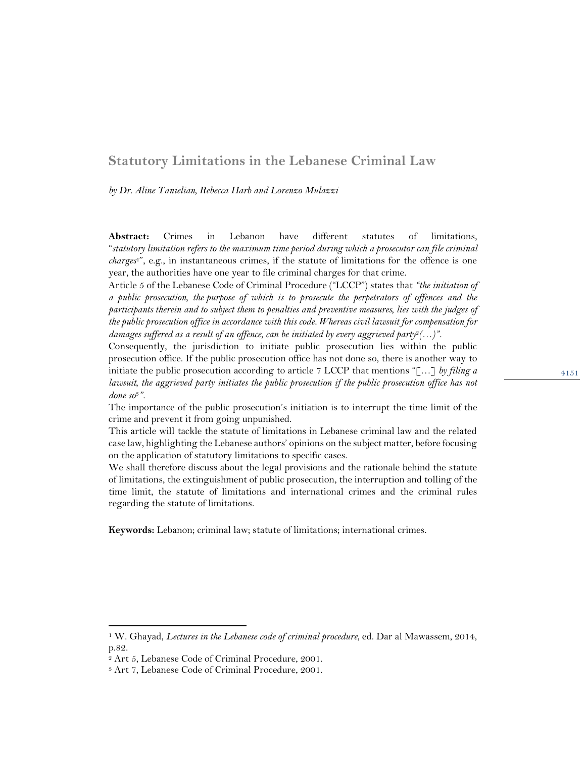## **Statutory Limitations in the Lebanese Criminal Law**

*by Dr. Aline Tanielian, Rebecca Harb and Lorenzo Mulazzi*

**Abstract:** Crimes in Lebanon have different statutes of limitations, "*statutory limitation refers to the maximum time period during which a prosecutor can file criminal charges*1", e.g., in instantaneous crimes, if the statute of limitations for the offence is one year, the authorities have one year to file criminal charges for that crime.

Article 5 of the Lebanese Code of Criminal Procedure ("LCCP") states that *"the initiation of a public prosecution, the purpose of which is to prosecute the perpetrators of offences and the participants therein and to subject them to penalties and preventive measures, lies with the judges of the public prosecution office in accordance with this code. Whereas civil lawsuit for compensation for damages suffered as a result of an offence, can be initiated by every aggrieved party*<sup>2</sup> $($ ...)".

Consequently, the jurisdiction to initiate public prosecution lies within the public prosecution office. If the public prosecution office has not done so, there is another way to initiate the public prosecution according to article 7 LCCP that mentions "[…] *by filing a lawsuit, the aggrieved party initiates the public prosecution if the public prosecution office has not done so*3*".* 

The importance of the public prosecution's initiation is to interrupt the time limit of the crime and prevent it from going unpunished.

This article will tackle the statute of limitations in Lebanese criminal law and the related case law, highlighting the Lebanese authors' opinions on the subject matter, before focusing on the application of statutory limitations to specific cases.

We shall therefore discuss about the legal provisions and the rationale behind the statute of limitations, the extinguishment of public prosecution, the interruption and tolling of the time limit, the statute of limitations and international crimes and the criminal rules regarding the statute of limitations.

**Keywords:** Lebanon; criminal law; statute of limitations; international crimes.

<sup>1</sup> W. Ghayad, *Lectures in the Lebanese code of criminal procedure*, ed. Dar al Mawassem, 2014, p.82.

<sup>2</sup> Art 5, Lebanese Code of Criminal Procedure, 2001.

<sup>3</sup> Art 7, Lebanese Code of Criminal Procedure, 2001.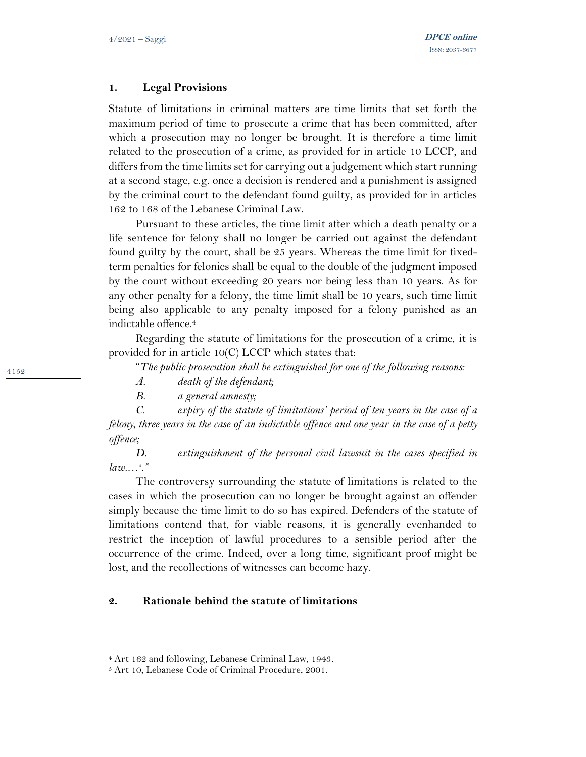### **1. Legal Provisions**

Statute of limitations in criminal matters are time limits that set forth the maximum period of time to prosecute a crime that has been committed, after which a prosecution may no longer be brought. It is therefore a time limit related to the prosecution of a crime, as provided for in article 10 LCCP, and differs from the time limits set for carrying out a judgement which start running at a second stage, e.g. once a decision is rendered and a punishment is assigned by the criminal court to the defendant found guilty, as provided for in articles 162 to 168 of the Lebanese Criminal Law.

Pursuant to these articles, the time limit after which a death penalty or a life sentence for felony shall no longer be carried out against the defendant found guilty by the court, shall be 25 years. Whereas the time limit for fixedterm penalties for felonies shall be equal to the double of the judgment imposed by the court without exceeding 20 years nor being less than 10 years. As for any other penalty for a felony, the time limit shall be 10 years, such time limit being also applicable to any penalty imposed for a felony punished as an indictable offence. 4

Regarding the statute of limitations for the prosecution of a crime, it is provided for in article  $10(C)$  LCCP which states that:

"*The public prosecution shall be extinguished for one of the following reasons:* 

- *A. death of the defendant;*
- *B. a general amnesty;*

*C. expiry of the statute of limitations' period of ten years in the case of a felony, three years in the case of an indictable offence and one year in the case of a petty offence;*

*D. extinguishment of the personal civil lawsuit in the cases specified in*   $law...$ <sup>5</sup>.

The controversy surrounding the statute of limitations is related to the cases in which the prosecution can no longer be brought against an offender simply because the time limit to do so has expired. Defenders of the statute of limitations contend that, for viable reasons, it is generally evenhanded to restrict the inception of lawful procedures to a sensible period after the occurrence of the crime. Indeed, over a long time, significant proof might be lost, and the recollections of witnesses can become hazy.

#### **2. Rationale behind the statute of limitations**

<sup>4</sup> Art 162 and following, Lebanese Criminal Law, 1943.

<sup>5</sup> Art 10, Lebanese Code of Criminal Procedure, 2001.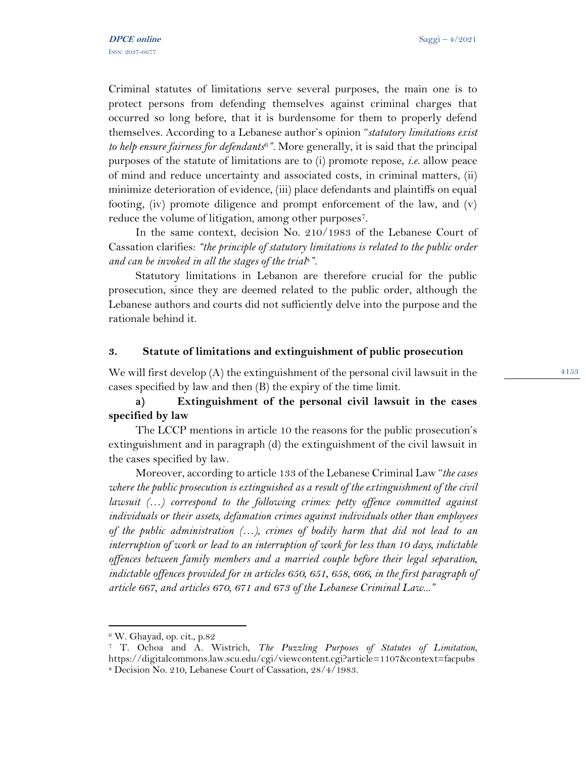Criminal statutes of limitations serve several purposes, the main one is to protect persons from defending themselves against criminal charges that occurred so long before, that it is burdensome for them to properly defend themselves. According to a Lebanese author's opinion "*statutory limitations exist to help ensure fairness for defendants*6*".* More generally, it is said that the principal purposes of the statute of limitations are to (i) promote repose, *i.e.* allow peace of mind and reduce uncertainty and associated costs, in criminal matters, (ii) minimize deterioration of evidence, (iii) place defendants and plaintiffs on equal footing, (iv) promote diligence and prompt enforcement of the law, and (v) reduce the volume of litigation, among other purposes<sup>7</sup>.

In the same context, decision No. 210/1983 of the Lebanese Court of Cassation clarifies: *"the principle of statutory limitations is related to the public order and can be invoked in all the stages of the trial*8*".*

Statutory limitations in Lebanon are therefore crucial for the public prosecution, since they are deemed related to the public order, although the Lebanese authors and courts did not sufficiently delve into the purpose and the rationale behind it.

#### **3. Statute of limitations and extinguishment of public prosecution**

We will first develop (A) the extinguishment of the personal civil lawsuit in the cases specified by law and then (B) the expiry of the time limit.

# **a) Extinguishment of the personal civil lawsuit in the cases specified by law**

The LCCP mentions in article 10 the reasons for the public prosecution's extinguishment and in paragraph (d) the extinguishment of the civil lawsuit in the cases specified by law.

Moreover, according to article 133 of the Lebanese Criminal Law "*the cases where the public prosecution is extinguished as a result of the extinguishment of the civil lawsuit (…) correspond to the following crimes: petty offence committed against individuals or their assets, defamation crimes against individuals other than employees of the public administration (…), crimes of bodily harm that did not lead to an interruption of work or lead to an interruption of work for less than 10 days, indictable offences between family members and a married couple before their legal separation, indictable offences provided for in articles 650, 651, 658, 666, in the first paragraph of article 667, and articles 670, 671 and 673 of the Lebanese Criminal Law..."*

<sup>6</sup> W. Ghayad, op. cit., p.82

<sup>7</sup> T. Ochoa and A. Wistrich, *The Puzzling Purposes of Statutes of Limitation*, https://digitalcommons.law.scu.edu/cgi/viewcontent.cgi?article=1107&context=facpubs <sup>8</sup> Decision No. 210, Lebanese Court of Cassation, 28/4/1983.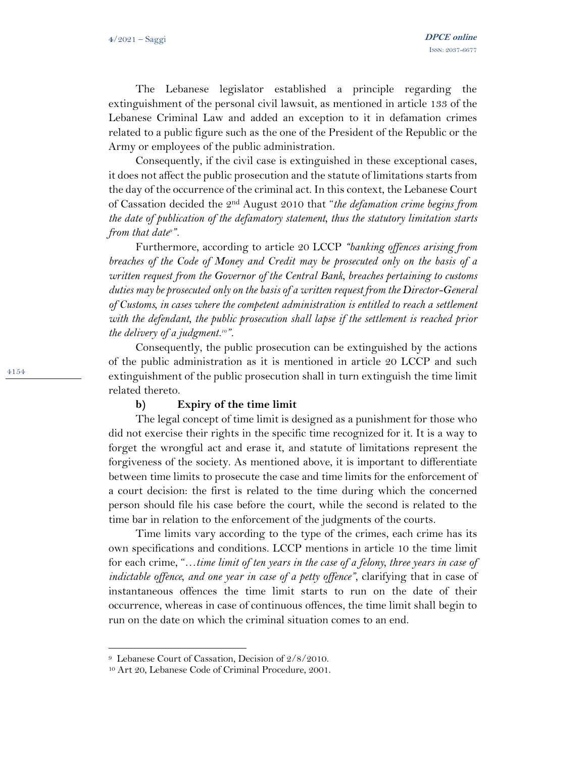The Lebanese legislator established a principle regarding the extinguishment of the personal civil lawsuit, as mentioned in article 133 of the Lebanese Criminal Law and added an exception to it in defamation crimes related to a public figure such as the one of the President of the Republic or the Army or employees of the public administration.

Consequently, if the civil case is extinguished in these exceptional cases, it does not affect the public prosecution and the statute of limitations starts from the day of the occurrence of the criminal act. In this context, the Lebanese Court of Cassation decided the 2nd August 2010 that "*the defamation crime begins from the date of publication of the defamatory statement, thus the statutory limitation starts from that date<sup>9</sup> ".*

Furthermore, according to article 20 LCCP *"banking offences arising from breaches of the Code of Money and Credit may be prosecuted only on the basis of a written request from the Governor of the Central Bank, breaches pertaining to customs duties may be prosecuted only on the basis of a written request from the Director-General of Customs, in cases where the competent administration is entitled to reach a settlement with the defendant, the public prosecution shall lapse if the settlement is reached prior the delivery of a judgment.10".* 

Consequently, the public prosecution can be extinguished by the actions of the public administration as it is mentioned in article 20 LCCP and such extinguishment of the public prosecution shall in turn extinguish the time limit related thereto.

#### **b) Expiry of the time limit**

The legal concept of time limit is designed as a punishment for those who did not exercise their rights in the specific time recognized for it. It is a way to forget the wrongful act and erase it, and statute of limitations represent the forgiveness of the society. As mentioned above, it is important to differentiate between time limits to prosecute the case and time limits for the enforcement of a court decision: the first is related to the time during which the concerned person should file his case before the court, while the second is related to the time bar in relation to the enforcement of the judgments of the courts.

Time limits vary according to the type of the crimes, each crime has its own specifications and conditions. LCCP mentions in article 10 the time limit for each crime, "…*time limit of ten years in the case of a felony, three years in case of indictable offence, and one year in case of a petty offence*", clarifying that in case of instantaneous offences the time limit starts to run on the date of their occurrence, whereas in case of continuous offences, the time limit shall begin to run on the date on which the criminal situation comes to an end.

<sup>9</sup> Lebanese Court of Cassation, Decision of 2/8/2010.

<sup>10</sup> Art 20, Lebanese Code of Criminal Procedure, 2001.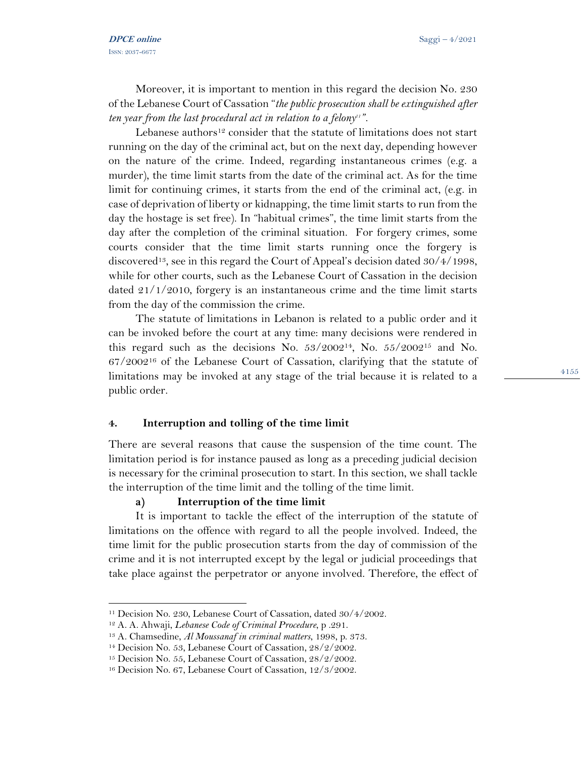Moreover, it is important to mention in this regard the decision No. 230 of the Lebanese Court of Cassation "*the public prosecution shall be extinguished after ten year from the last procedural act in relation to a felony<sup>11</sup> ".*

Lebanese authors<sup>12</sup> consider that the statute of limitations does not start running on the day of the criminal act, but on the next day, depending however on the nature of the crime. Indeed, regarding instantaneous crimes (e.g. a murder), the time limit starts from the date of the criminal act. As for the time limit for continuing crimes, it starts from the end of the criminal act, (e.g. in case of deprivation of liberty or kidnapping, the time limit starts to run from the day the hostage is set free). In "habitual crimes", the time limit starts from the day after the completion of the criminal situation. For forgery crimes, some courts consider that the time limit starts running once the forgery is discovered13, see in this regard the Court of Appeal's decision dated 30/4/1998, while for other courts, such as the Lebanese Court of Cassation in the decision dated 21/1/2010, forgery is an instantaneous crime and the time limit starts from the day of the commission the crime.

The statute of limitations in Lebanon is related to a public order and it can be invoked before the court at any time: many decisions were rendered in this regard such as the decisions No.  $53/2002^{14}$ , No.  $55/2002^{15}$  and No. 67/2002<sup>16</sup> of the Lebanese Court of Cassation, clarifying that the statute of limitations may be invoked at any stage of the trial because it is related to a public order.

#### **4. Interruption and tolling of the time limit**

There are several reasons that cause the suspension of the time count. The limitation period is for instance paused as long as a preceding judicial decision is necessary for the criminal prosecution to start. In this section, we shall tackle the interruption of the time limit and the tolling of the time limit.

### **a) Interruption of the time limit**

It is important to tackle the effect of the interruption of the statute of limitations on the offence with regard to all the people involved. Indeed, the time limit for the public prosecution starts from the day of commission of the crime and it is not interrupted except by the legal or judicial proceedings that take place against the perpetrator or anyone involved. Therefore, the effect of

<sup>&</sup>lt;sup>11</sup> Decision No. 230, Lebanese Court of Cassation, dated 30/4/2002.

<sup>12</sup> A. A. Ahwaji, *Lebanese Code of Criminal Procedure*, p .291.

<sup>13</sup> A. Chamsedine, *Al Moussanaf in criminal matters*, 1998, p. 373.

<sup>14</sup> Decision No. 53, Lebanese Court of Cassation, 28/2/2002.

<sup>&</sup>lt;sup>15</sup> Decision No. 55, Lebanese Court of Cassation, 28/2/2002.

<sup>16</sup> Decision No. 67, Lebanese Court of Cassation, 12/3/2002.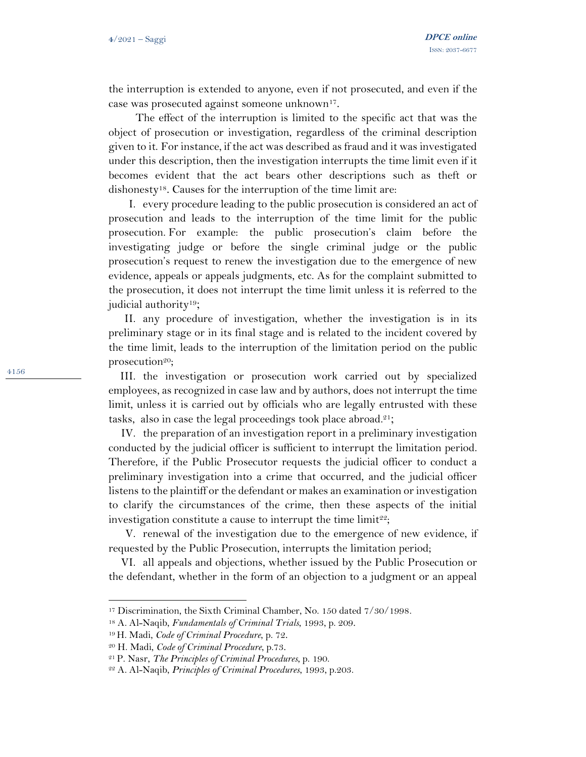the interruption is extended to anyone, even if not prosecuted, and even if the case was prosecuted against someone unknown17.

The effect of the interruption is limited to the specific act that was the object of prosecution or investigation, regardless of the criminal description given to it. For instance, if the act was described as fraud and it was investigated under this description, then the investigation interrupts the time limit even if it becomes evident that the act bears other descriptions such as theft or dishonesty18. Causes for the interruption of the time limit are:

I. every procedure leading to the public prosecution is considered an act of prosecution and leads to the interruption of the time limit for the public prosecution. For example: the public prosecution's claim before the investigating judge or before the single criminal judge or the public prosecution's request to renew the investigation due to the emergence of new evidence, appeals or appeals judgments, etc. As for the complaint submitted to the prosecution, it does not interrupt the time limit unless it is referred to the judicial authority19;

II. any procedure of investigation, whether the investigation is in its preliminary stage or in its final stage and is related to the incident covered by the time limit, leads to the interruption of the limitation period on the public prosecution<sup>20</sup>;

III. the investigation or prosecution work carried out by specialized employees, as recognized in case law and by authors, does not interrupt the time limit, unless it is carried out by officials who are legally entrusted with these tasks, also in case the legal proceedings took place abroad. 21;

IV. the preparation of an investigation report in a preliminary investigation conducted by the judicial officer is sufficient to interrupt the limitation period. Therefore, if the Public Prosecutor requests the judicial officer to conduct a preliminary investigation into a crime that occurred, and the judicial officer listens to the plaintiff or the defendant or makes an examination or investigation to clarify the circumstances of the crime, then these aspects of the initial investigation constitute a cause to interrupt the time  $\lim_{x \to 2} t^{22}$ ;

V. renewal of the investigation due to the emergence of new evidence, if requested by the Public Prosecution, interrupts the limitation period;

VI. all appeals and objections, whether issued by the Public Prosecution or the defendant, whether in the form of an objection to a judgment or an appeal

<sup>17</sup> Discrimination, the Sixth Criminal Chamber, No. 150 dated 7/30/1998.

<sup>18</sup> A. Al-Naqib, *Fundamentals of Criminal Trials*, 1993, p. 209.

<sup>19</sup> H. Madi, *Code of Criminal Procedure*, p. 72 .

<sup>20</sup> H. Madi, *Code of Criminal Procedure*, p.73 .

<sup>21</sup> P. Nasr, *The Principles of Criminal Procedures*, p. 190.

<sup>22</sup> A. Al-Naqib, *Principles of Criminal Procedures*, 1993, p.203.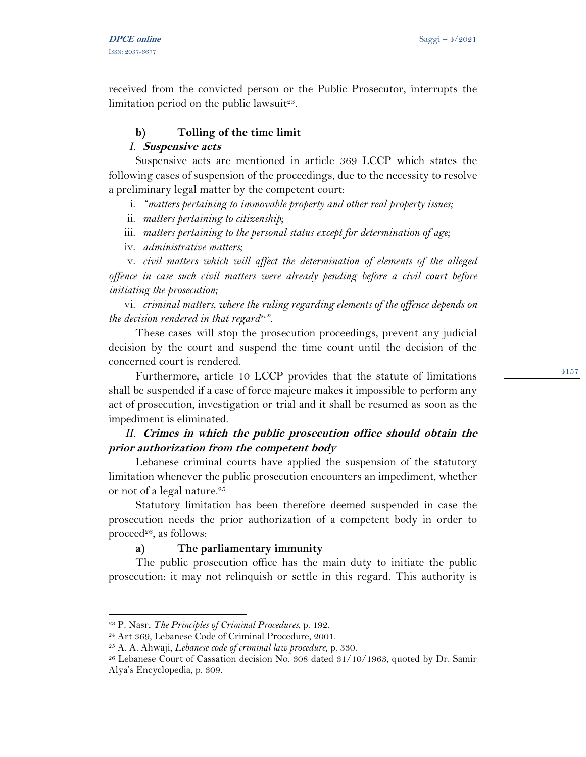received from the convicted person or the Public Prosecutor, interrupts the limitation period on the public lawsuit<sup>23</sup>.

## **b) Tolling of the time limit**

### *I.* **Suspensive acts**

Suspensive acts are mentioned in article 369 LCCP which states the following cases of suspension of the proceedings, due to the necessity to resolve a preliminary legal matter by the competent court:

- i. *"matters pertaining to immovable property and other real property issues;*
- ii. *matters pertaining to citizenship;*
- iii. *matters pertaining to the personal status except for determination of age;*
- iv. *administrative matters;*

v. *civil matters which will affect the determination of elements of the alleged offence in case such civil matters were already pending before a civil court before initiating the prosecution;*

vi. *criminal matters, where the ruling regarding elements of the offence depends on the decision rendered in that regard<sup>24</sup> ".* 

These cases will stop the prosecution proceedings, prevent any judicial decision by the court and suspend the time count until the decision of the concerned court is rendered.

Furthermore, article 10 LCCP provides that the statute of limitations shall be suspended if a case of force majeure makes it impossible to perform any act of prosecution, investigation or trial and it shall be resumed as soon as the impediment is eliminated.

# *II.* **Crimes in which the public prosecution office should obtain the prior authorization from the competent body**

Lebanese criminal courts have applied the suspension of the statutory limitation whenever the public prosecution encounters an impediment, whether or not of a legal nature. 25

Statutory limitation has been therefore deemed suspended in case the prosecution needs the prior authorization of a competent body in order to proceed<sup>26</sup>, as follows:

## **a) The parliamentary immunity**

The public prosecution office has the main duty to initiate the public prosecution: it may not relinquish or settle in this regard. This authority is

<sup>23</sup> P. Nasr, *The Principles of Criminal Procedures,* p. 192.

<sup>24</sup> Art 369, Lebanese Code of Criminal Procedure, 2001.

<sup>25</sup> A. A. Ahwaji, *Lebanese code of criminal law procedure*, p. 330.

<sup>26</sup> Lebanese Court of Cassation decision No. 308 dated 31/10/1963, quoted by Dr. Samir Alya's Encyclopedia, p. 309.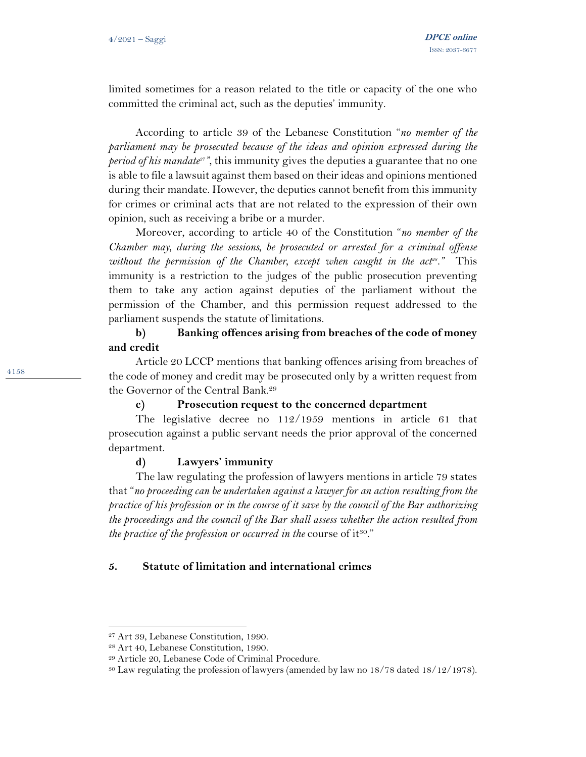limited sometimes for a reason related to the title or capacity of the one who committed the criminal act, such as the deputies' immunity.

According to article 39 of the Lebanese Constitution "*no member of the parliament may be prosecuted because of the ideas and opinion expressed during the period of his mandate27",* this immunity gives the deputies a guarantee that no one is able to file a lawsuit against them based on their ideas and opinions mentioned during their mandate. However, the deputies cannot benefit from this immunity for crimes or criminal acts that are not related to the expression of their own opinion, such as receiving a bribe or a murder.

Moreover, according to article 40 of the Constitution "*no member of the Chamber may, during the sessions, be prosecuted or arrested for a criminal offense without the permission of the Chamber, except when caught in the act<sup><i>8*</sup>." This immunity is a restriction to the judges of the public prosecution preventing them to take any action against deputies of the parliament without the permission of the Chamber, and this permission request addressed to the parliament suspends the statute of limitations.

## **b) Banking offences arising from breaches of the code of money and credit**

Article 20 LCCP mentions that banking offences arising from breaches of the code of money and credit may be prosecuted only by a written request from the Governor of the Central Bank.<sup>29</sup>

#### **c) Prosecution request to the concerned department**

The legislative decree no 112/1959 mentions in article 61 that prosecution against a public servant needs the prior approval of the concerned department.

### **d) Lawyers' immunity**

The law regulating the profession of lawyers mentions in article 79 states that "*no proceeding can be undertaken against a lawyer for an action resulting from the practice of his profession or in the course of it save by the council of the Bar authorizing the proceedings and the council of the Bar shall assess whether the action resulted from the practice of the profession or occurred in the course of it*<sup>30."</sup>

#### **5. Statute of limitation and international crimes**

<sup>27</sup> Art 39, Lebanese Constitution, 1990.

<sup>28</sup> Art 40, Lebanese Constitution, 1990.

<sup>29</sup> Article 20, Lebanese Code of Criminal Procedure.

<sup>30</sup> Law regulating the profession of lawyers (amended by law no 18/78 dated 18/12/1978).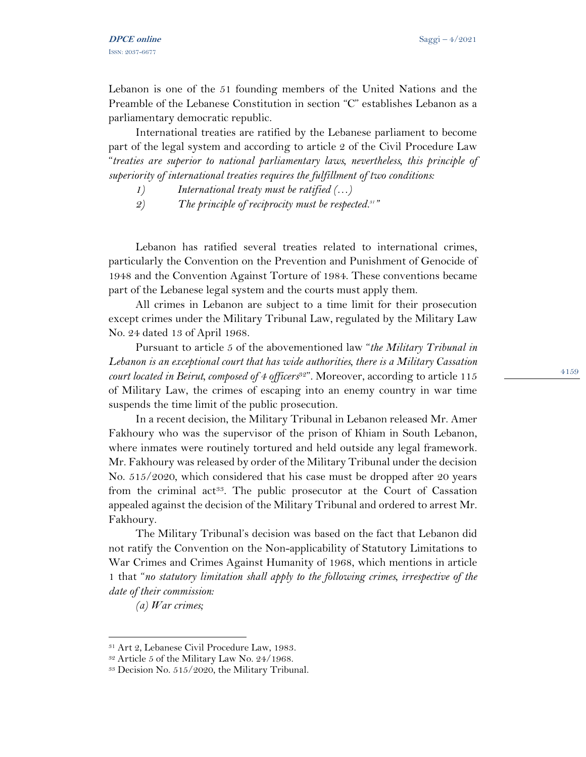Lebanon is one of the 51 founding members of the United Nations and the Preamble of the Lebanese Constitution in section "C" establishes Lebanon as a parliamentary democratic republic.

International treaties are ratified by the Lebanese parliament to become part of the legal system and according to article 2 of the Civil Procedure Law "*treaties are superior to national parliamentary laws, nevertheless, this principle of superiority of international treaties requires the fulfillment of two conditions:* 

- *1) International treaty must be ratified (…)*
- *2) The principle of reciprocity must be respected.<sup>31</sup> "*

Lebanon has ratified several treaties related to international crimes, particularly the Convention on the Prevention and Punishment of Genocide of 1948 and the Convention Against Torture of 1984. These conventions became part of the Lebanese legal system and the courts must apply them.

All crimes in Lebanon are subject to a time limit for their prosecution except crimes under the Military Tribunal Law, regulated by the Military Law No. 24 dated 13 of April 1968.

Pursuant to article 5 of the abovementioned law "*the Military Tribunal in Lebanon is an exceptional court that has wide authorities, there is a Military Cassation court located in Beirut, composed of 4 officers*32". Moreover, according to article 115 of Military Law, the crimes of escaping into an enemy country in war time suspends the time limit of the public prosecution.

In a recent decision, the Military Tribunal in Lebanon released Mr. Amer Fakhoury who was the supervisor of the prison of Khiam in South Lebanon, where inmates were routinely tortured and held outside any legal framework. Mr. Fakhoury was released by order of the Military Tribunal under the decision No. 515/2020, which considered that his case must be dropped after 20 years from the criminal act<sup>33</sup>. The public prosecutor at the Court of Cassation appealed against the decision of the Military Tribunal and ordered to arrest Mr. Fakhoury.

The Military Tribunal's decision was based on the fact that Lebanon did not ratify the Convention on the Non-applicability of Statutory Limitations to War Crimes and Crimes Against Humanity of 1968, which mentions in article 1 that "*no statutory limitation shall apply to the following crimes, irrespective of the date of their commission:* 

*(a) War crimes;*

<sup>31</sup> Art 2, Lebanese Civil Procedure Law, 1983.

<sup>32</sup> Article 5 of the Military Law No. 24/1968.

<sup>33</sup> Decision No. 515/2020, the Military Tribunal.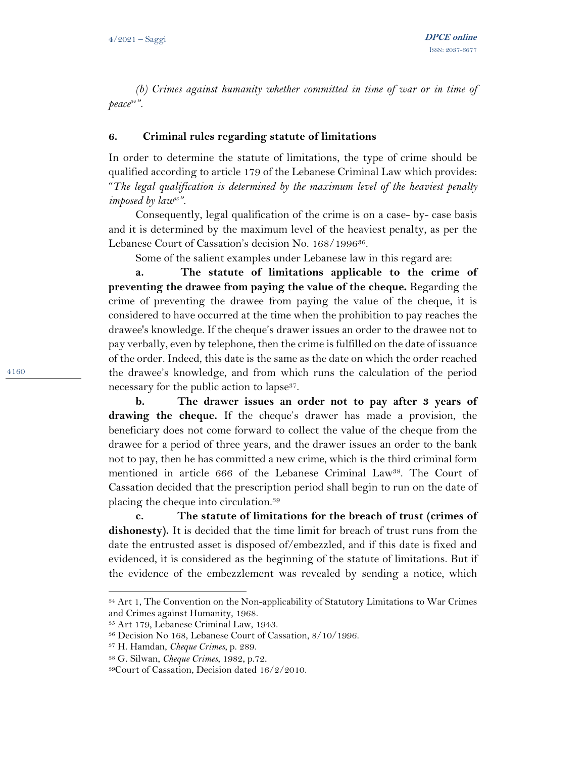*(b) Crimes against humanity whether committed in time of war or in time of peace<sup>34</sup> ".*

### **6. Criminal rules regarding statute of limitations**

In order to determine the statute of limitations, the type of crime should be qualified according to article 179 of the Lebanese Criminal Law which provides: "*The legal qualification is determined by the maximum level of the heaviest penalty imposed by law35".* 

Consequently, legal qualification of the crime is on a case- by- case basis and it is determined by the maximum level of the heaviest penalty, as per the Lebanese Court of Cassation's decision No. 168/1996<sup>36</sup>.

Some of the salient examples under Lebanese law in this regard are:

**a. The statute of limitations applicable to the crime of preventing the drawee from paying the value of the cheque.** Regarding the crime of preventing the drawee from paying the value of the cheque, it is considered to have occurred at the time when the prohibition to pay reaches the drawee's knowledge. If the cheque's drawer issues an order to the drawee not to pay verbally, even by telephone, then the crime is fulfilled on the date of issuance of the order. Indeed, this date is the same as the date on which the order reached the drawee's knowledge, and from which runs the calculation of the period necessary for the public action to lapse<sup>37</sup>.

**b. The drawer issues an order not to pay after 3 years of drawing the cheque.** If the cheque's drawer has made a provision, the beneficiary does not come forward to collect the value of the cheque from the drawee for a period of three years, and the drawer issues an order to the bank not to pay, then he has committed a new crime, which is the third criminal form mentioned in article 666 of the Lebanese Criminal Law38. The Court of Cassation decided that the prescription period shall begin to run on the date of placing the cheque into circulation.<sup>39</sup>

**c. The statute of limitations for the breach of trust (crimes of dishonesty).** It is decided that the time limit for breach of trust runs from the date the entrusted asset is disposed of/embezzled, and if this date is fixed and evidenced, it is considered as the beginning of the statute of limitations. But if the evidence of the embezzlement was revealed by sending a notice, which

<sup>34</sup> Art 1, The Convention on the Non-applicability of Statutory Limitations to War Crimes and Crimes against Humanity, 1968.

<sup>35</sup> Art 179, Lebanese Criminal Law, 1943.

<sup>36</sup> Decision No 168, Lebanese Court of Cassation, 8/10/1996.

<sup>37</sup> H. Hamdan, *Cheque Crimes*, p. 289.

<sup>38</sup> G. Silwan, *Cheque Crimes*, 1982, p.72 .

<sup>39</sup>Court of Cassation, Decision dated 16/2/2010.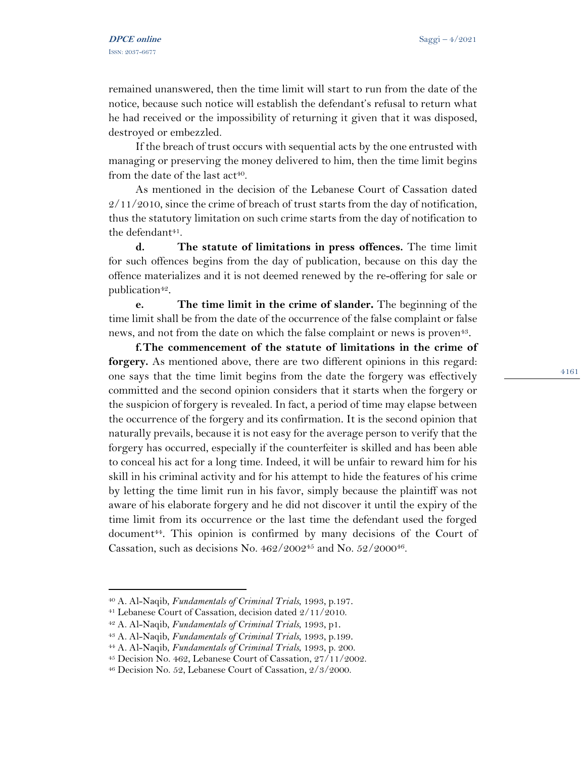remained unanswered, then the time limit will start to run from the date of the notice, because such notice will establish the defendant's refusal to return what he had received or the impossibility of returning it given that it was disposed, destroyed or embezzled.

If the breach of trust occurs with sequential acts by the one entrusted with managing or preserving the money delivered to him, then the time limit begins from the date of the last  $act<sup>40</sup>$ .

As mentioned in the decision of the Lebanese Court of Cassation dated  $2/11/2010$ , since the crime of breach of trust starts from the day of notification, thus the statutory limitation on such crime starts from the day of notification to the defendant<sup>41</sup>.

**d. The statute of limitations in press offences.** The time limit for such offences begins from the day of publication, because on this day the offence materializes and it is not deemed renewed by the re-offering for sale or publication<sup>42</sup>.

**e. The time limit in the crime of slander.** The beginning of the time limit shall be from the date of the occurrence of the false complaint or false news, and not from the date on which the false complaint or news is proven<sup>43</sup>.

**f.The commencement of the statute of limitations in the crime of forgery.** As mentioned above, there are two different opinions in this regard: one says that the time limit begins from the date the forgery was effectively committed and the second opinion considers that it starts when the forgery or the suspicion of forgery is revealed. In fact, a period of time may elapse between the occurrence of the forgery and its confirmation. It is the second opinion that naturally prevails, because it is not easy for the average person to verify that the forgery has occurred, especially if the counterfeiter is skilled and has been able to conceal his act for a long time. Indeed, it will be unfair to reward him for his skill in his criminal activity and for his attempt to hide the features of his crime by letting the time limit run in his favor, simply because the plaintiff was not aware of his elaborate forgery and he did not discover it until the expiry of the time limit from its occurrence or the last time the defendant used the forged document <sup>44</sup>. This opinion is confirmed by many decisions of the Court of Cassation, such as decisions No.  $462/2002^{45}$  and No.  $52/2000^{46}$ .

<sup>40</sup> A. Al-Naqib, *Fundamentals of Criminal Trials*, 1993, p.197.

<sup>41</sup> Lebanese Court of Cassation, decision dated 2/11/2010.

<sup>42</sup> A. Al-Naqib, *Fundamentals of Criminal Trials*, 1993, p1 .

<sup>43</sup> A. Al-Naqib, *Fundamentals of Criminal Trials*, 1993, p.199.

<sup>44</sup> A. Al-Naqib, *Fundamentals of Criminal Trials*, 1993, p. 200.

<sup>45</sup> Decision No. 462, Lebanese Court of Cassation, 27/11/2002.

<sup>46</sup> Decision No. 52, Lebanese Court of Cassation, 2/3/2000.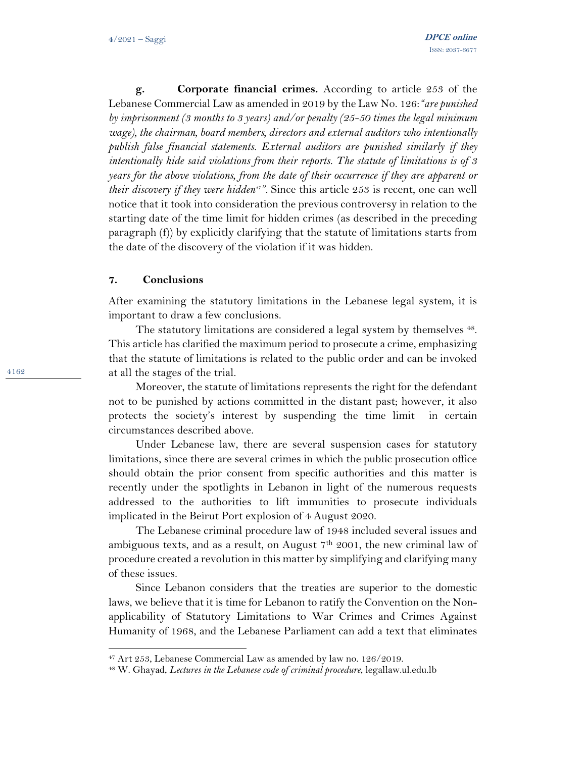**g. Corporate financial crimes.** According to article 253 of the Lebanese Commercial Law as amended in 2019 by the Law No. 126:*"are punished by imprisonment (3 months to 3 years) and/or penalty (25-50 times the legal minimum wage), the chairman, board members, directors and external auditors who intentionally publish false financial statements. External auditors are punished similarly if they intentionally hide said violations from their reports. The statute of limitations is of 3 years for the above violations, from the date of their occurrence if they are apparent or their discovery if they were hidden<sup>47</sup> ".* Since this article 253 is recent, one can well notice that it took into consideration the previous controversy in relation to the starting date of the time limit for hidden crimes (as described in the preceding paragraph (f)) by explicitly clarifying that the statute of limitations starts from the date of the discovery of the violation if it was hidden.

#### **7. Conclusions**

After examining the statutory limitations in the Lebanese legal system, it is important to draw a few conclusions.

The statutory limitations are considered a legal system by themselves <sup>48</sup>. This article has clarified the maximum period to prosecute a crime, emphasizing that the statute of limitations is related to the public order and can be invoked at all the stages of the trial.

Moreover, the statute of limitations represents the right for the defendant not to be punished by actions committed in the distant past; however, it also protects the society's interest by suspending the time limit in certain circumstances described above.

Under Lebanese law, there are several suspension cases for statutory limitations, since there are several crimes in which the public prosecution office should obtain the prior consent from specific authorities and this matter is recently under the spotlights in Lebanon in light of the numerous requests addressed to the authorities to lift immunities to prosecute individuals implicated in the Beirut Port explosion of 4 August 2020.

The Lebanese criminal procedure law of 1948 included several issues and ambiguous texts, and as a result, on August  $7<sup>th</sup>$  2001, the new criminal law of procedure created a revolution in this matter by simplifying and clarifying many of these issues.

Since Lebanon considers that the treaties are superior to the domestic laws, we believe that it is time for Lebanon to ratify the Convention on the Nonapplicability of Statutory Limitations to War Crimes and Crimes Against Humanity of 1968, and the Lebanese Parliament can add a text that eliminates

<sup>47</sup> Art 253, Lebanese Commercial Law as amended by law no. 126/2019.

<sup>48</sup> W. Ghayad, *Lectures in the Lebanese code of criminal procedure*, legallaw.ul.edu.lb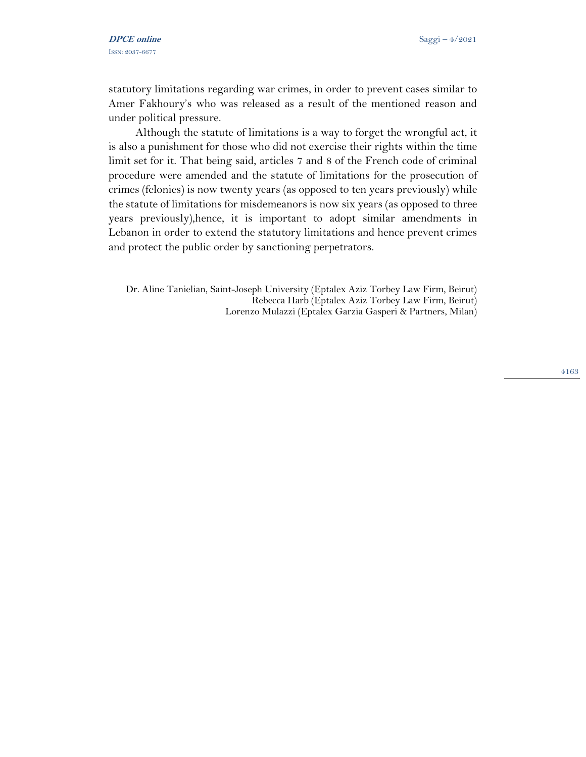statutory limitations regarding war crimes, in order to prevent cases similar to Amer Fakhoury's who was released as a result of the mentioned reason and under political pressure.

Although the statute of limitations is a way to forget the wrongful act, it is also a punishment for those who did not exercise their rights within the time limit set for it. That being said, articles 7 and 8 of the French code of criminal procedure were amended and the statute of limitations for the prosecution of crimes (felonies) is now twenty years (as opposed to ten years previously) while the statute of limitations for misdemeanors is now six years (as opposed to three years previously),hence, it is important to adopt similar amendments in Lebanon in order to extend the statutory limitations and hence prevent crimes and protect the public order by sanctioning perpetrators.

Dr. Aline Tanielian, Saint-Joseph University (Eptalex Aziz Torbey Law Firm, Beirut) Rebecca Harb (Eptalex Aziz Torbey Law Firm, Beirut) Lorenzo Mulazzi (Eptalex Garzia Gasperi & Partners, Milan)

4163